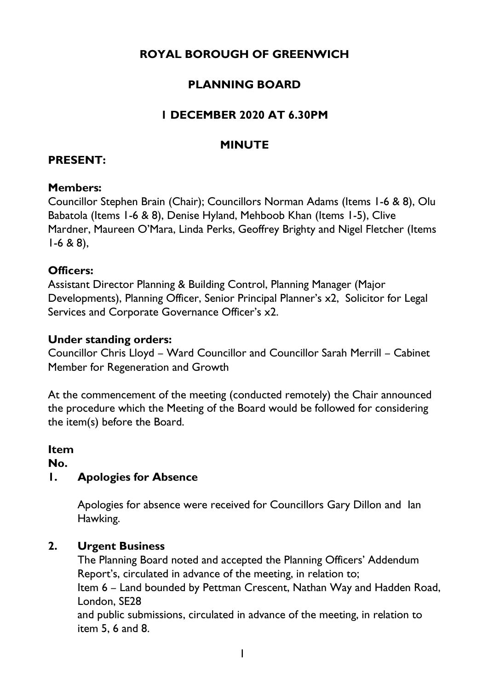# **ROYAL BOROUGH OF GREENWICH**

# **PLANNING BOARD**

### **1 DECEMBER 2020 AT 6.30PM**

### **MINUTE**

#### **PRESENT:**

#### **Members:**

Councillor Stephen Brain (Chair); Councillors Norman Adams (Items 1-6 & 8), Olu Babatola (Items 1-6 & 8), Denise Hyland, Mehboob Khan (Items 1-5), Clive Mardner, Maureen O'Mara, Linda Perks, Geoffrey Brighty and Nigel Fletcher (Items  $1-6$  & 8),

#### **Officers:**

Assistant Director Planning & Building Control, Planning Manager (Major Developments), Planning Officer, Senior Principal Planner's x2, Solicitor for Legal Services and Corporate Governance Officer's x2.

#### **Under standing orders:**

Councillor Chris Lloyd – Ward Councillor and Councillor Sarah Merrill – Cabinet Member for Regeneration and Growth

At the commencement of the meeting (conducted remotely) the Chair announced the procedure which the Meeting of the Board would be followed for considering the item(s) before the Board.

#### **Item**

**No.** 

### **1. Apologies for Absence**

Apologies for absence were received for Councillors Gary Dillon and Ian Hawking.

### **2. Urgent Business**

The Planning Board noted and accepted the Planning Officers' Addendum Report's, circulated in advance of the meeting, in relation to;

Item 6 – Land bounded by Pettman Crescent, Nathan Way and Hadden Road, London, SE28

and public submissions, circulated in advance of the meeting, in relation to item 5, 6 and 8.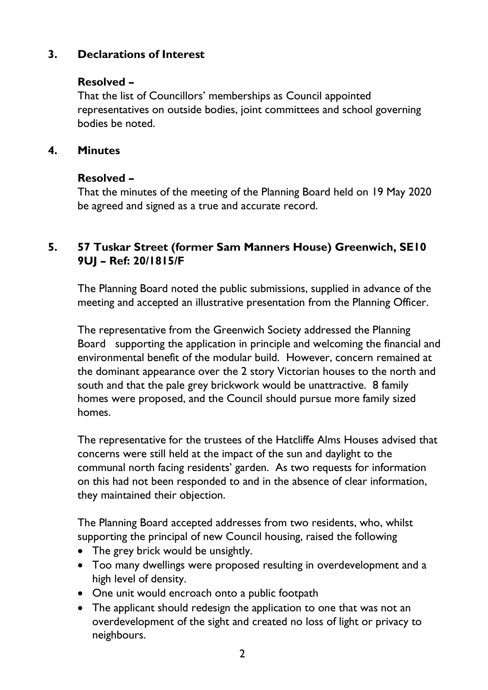# **3. Declarations of Interest**

### **Resolved –**

That the list of Councillors' memberships as Council appointed representatives on outside bodies, joint committees and school governing bodies be noted.

#### **4. Minutes**

### **Resolved –**

That the minutes of the meeting of the Planning Board held on 19 May 2020 be agreed and signed as a true and accurate record.

## **5. 57 Tuskar Street (former Sam Manners House) Greenwich, SE10 9UJ – Ref: 20/1815/F**

The Planning Board noted the public submissions, supplied in advance of the meeting and accepted an illustrative presentation from the Planning Officer.

The representative from the Greenwich Society addressed the Planning Board supporting the application in principle and welcoming the financial and environmental benefit of the modular build. However, concern remained at the dominant appearance over the 2 story Victorian houses to the north and south and that the pale grey brickwork would be unattractive. 8 family homes were proposed, and the Council should pursue more family sized homes.

The representative for the trustees of the Hatcliffe Alms Houses advised that concerns were still held at the impact of the sun and daylight to the communal north facing residents' garden. As two requests for information on this had not been responded to and in the absence of clear information, they maintained their objection.

The Planning Board accepted addresses from two residents, who, whilst supporting the principal of new Council housing, raised the following

- The grey brick would be unsightly.
- Too many dwellings were proposed resulting in overdevelopment and a high level of density.
- One unit would encroach onto a public footpath
- The applicant should redesign the application to one that was not an overdevelopment of the sight and created no loss of light or privacy to neighbours.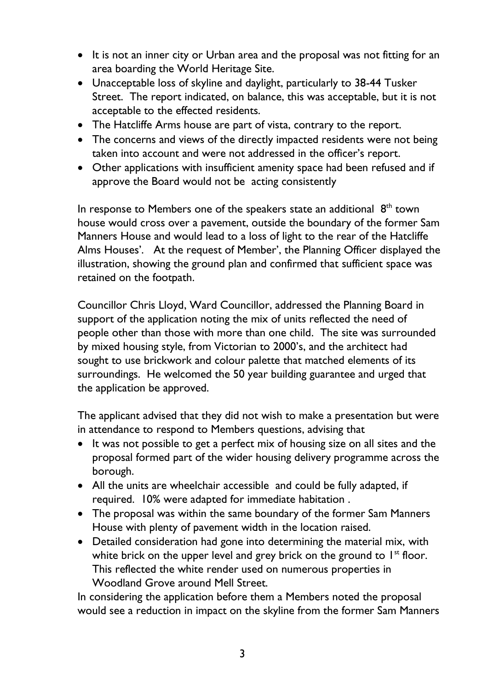- It is not an inner city or Urban area and the proposal was not fitting for an area boarding the World Heritage Site.
- Unacceptable loss of skyline and daylight, particularly to 38-44 Tusker Street. The report indicated, on balance, this was acceptable, but it is not acceptable to the effected residents.
- The Hatcliffe Arms house are part of vista, contrary to the report.
- The concerns and views of the directly impacted residents were not being taken into account and were not addressed in the officer's report.
- Other applications with insufficient amenity space had been refused and if approve the Board would not be acting consistently

In response to Members one of the speakers state an additional  $8<sup>th</sup>$  town house would cross over a pavement, outside the boundary of the former Sam Manners House and would lead to a loss of light to the rear of the Hatcliffe Alms Houses'. At the request of Member', the Planning Officer displayed the illustration, showing the ground plan and confirmed that sufficient space was retained on the footpath.

Councillor Chris Lloyd, Ward Councillor, addressed the Planning Board in support of the application noting the mix of units reflected the need of people other than those with more than one child. The site was surrounded by mixed housing style, from Victorian to 2000's, and the architect had sought to use brickwork and colour palette that matched elements of its surroundings. He welcomed the 50 year building guarantee and urged that the application be approved.

The applicant advised that they did not wish to make a presentation but were in attendance to respond to Members questions, advising that

- It was not possible to get a perfect mix of housing size on all sites and the proposal formed part of the wider housing delivery programme across the borough.
- All the units are wheelchair accessible and could be fully adapted, if required. 10% were adapted for immediate habitation .
- The proposal was within the same boundary of the former Sam Manners House with plenty of pavement width in the location raised.
- Detailed consideration had gone into determining the material mix, with white brick on the upper level and grey brick on the ground to  $1<sup>st</sup>$  floor. This reflected the white render used on numerous properties in Woodland Grove around Mell Street.

In considering the application before them a Members noted the proposal would see a reduction in impact on the skyline from the former Sam Manners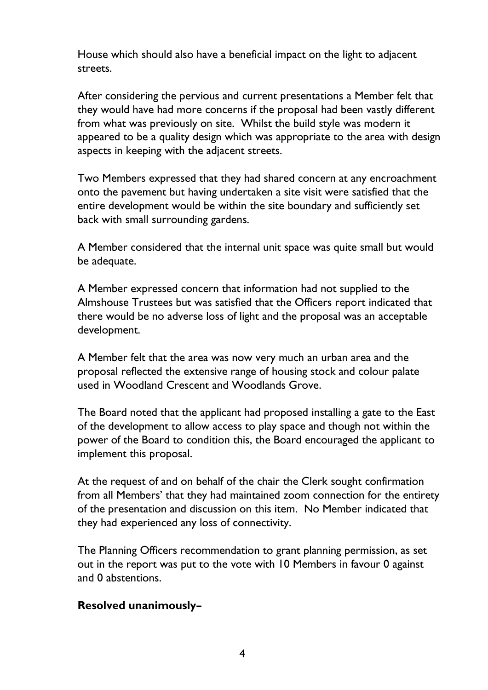House which should also have a beneficial impact on the light to adjacent streets.

After considering the pervious and current presentations a Member felt that they would have had more concerns if the proposal had been vastly different from what was previously on site. Whilst the build style was modern it appeared to be a quality design which was appropriate to the area with design aspects in keeping with the adjacent streets.

Two Members expressed that they had shared concern at any encroachment onto the pavement but having undertaken a site visit were satisfied that the entire development would be within the site boundary and sufficiently set back with small surrounding gardens.

A Member considered that the internal unit space was quite small but would be adequate.

A Member expressed concern that information had not supplied to the Almshouse Trustees but was satisfied that the Officers report indicated that there would be no adverse loss of light and the proposal was an acceptable development.

A Member felt that the area was now very much an urban area and the proposal reflected the extensive range of housing stock and colour palate used in Woodland Crescent and Woodlands Grove.

The Board noted that the applicant had proposed installing a gate to the East of the development to allow access to play space and though not within the power of the Board to condition this, the Board encouraged the applicant to implement this proposal.

At the request of and on behalf of the chair the Clerk sought confirmation from all Members' that they had maintained zoom connection for the entirety of the presentation and discussion on this item. No Member indicated that they had experienced any loss of connectivity.

The Planning Officers recommendation to grant planning permission, as set out in the report was put to the vote with 10 Members in favour 0 against and 0 abstentions.

#### **Resolved unanimously–**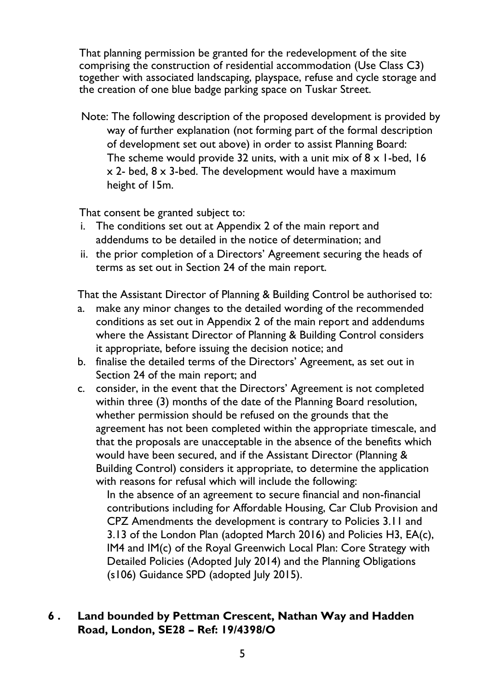That planning permission be granted for the redevelopment of the site comprising the construction of residential accommodation (Use Class C3) together with associated landscaping, playspace, refuse and cycle storage and the creation of one blue badge parking space on Tuskar Street.

Note: The following description of the proposed development is provided by way of further explanation (not forming part of the formal description of development set out above) in order to assist Planning Board: The scheme would provide 32 units, with a unit mix of  $8 \times 1$ -bed, 16 x 2- bed, 8 x 3-bed. The development would have a maximum height of 15m.

That consent be granted subject to:

- i. The conditions set out at Appendix 2 of the main report and addendums to be detailed in the notice of determination; and
- ii. the prior completion of a Directors' Agreement securing the heads of terms as set out in Section 24 of the main report.

That the Assistant Director of Planning & Building Control be authorised to:

- a. make any minor changes to the detailed wording of the recommended conditions as set out in Appendix 2 of the main report and addendums where the Assistant Director of Planning & Building Control considers it appropriate, before issuing the decision notice; and
- b. finalise the detailed terms of the Directors' Agreement, as set out in Section 24 of the main report; and
- c. consider, in the event that the Directors' Agreement is not completed within three (3) months of the date of the Planning Board resolution, whether permission should be refused on the grounds that the agreement has not been completed within the appropriate timescale, and that the proposals are unacceptable in the absence of the benefits which would have been secured, and if the Assistant Director (Planning & Building Control) considers it appropriate, to determine the application with reasons for refusal which will include the following:

In the absence of an agreement to secure financial and non-financial contributions including for Affordable Housing, Car Club Provision and CPZ Amendments the development is contrary to Policies 3.11 and 3.13 of the London Plan (adopted March 2016) and Policies H3, EA(c), IM4 and IM(c) of the Royal Greenwich Local Plan: Core Strategy with Detailed Policies (Adopted July 2014) and the Planning Obligations (s106) Guidance SPD (adopted July 2015).

### **6 . Land bounded by Pettman Crescent, Nathan Way and Hadden Road, London, SE28 – Ref: 19/4398/O**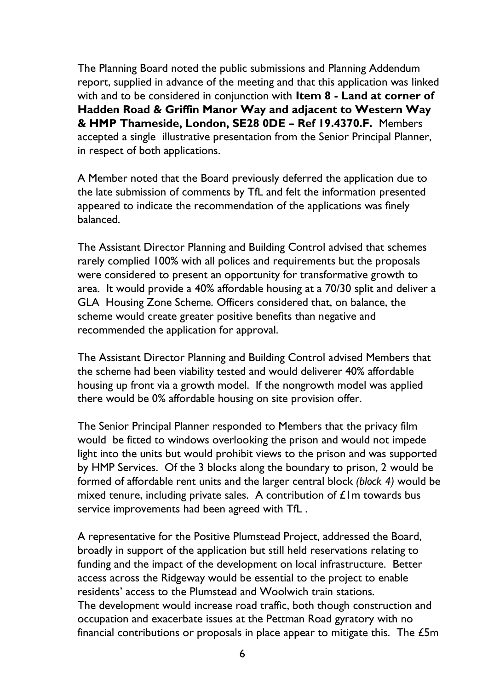The Planning Board noted the public submissions and Planning Addendum report, supplied in advance of the meeting and that this application was linked with and to be considered in conjunction with **Item 8 - Land at corner of Hadden Road & Griffin Manor Way and adjacent to Western Way & HMP Thameside, London, SE28 0DE – Ref 19.4370.F.** Members accepted a single illustrative presentation from the Senior Principal Planner, in respect of both applications.

A Member noted that the Board previously deferred the application due to the late submission of comments by TfL and felt the information presented appeared to indicate the recommendation of the applications was finely balanced.

The Assistant Director Planning and Building Control advised that schemes rarely complied 100% with all polices and requirements but the proposals were considered to present an opportunity for transformative growth to area. It would provide a 40% affordable housing at a 70/30 split and deliver a GLA Housing Zone Scheme. Officers considered that, on balance, the scheme would create greater positive benefits than negative and recommended the application for approval.

The Assistant Director Planning and Building Control advised Members that the scheme had been viability tested and would deliverer 40% affordable housing up front via a growth model. If the nongrowth model was applied there would be 0% affordable housing on site provision offer.

The Senior Principal Planner responded to Members that the privacy film would be fitted to windows overlooking the prison and would not impede light into the units but would prohibit views to the prison and was supported by HMP Services. Of the 3 blocks along the boundary to prison, 2 would be formed of affordable rent units and the larger central block *(block 4)* would be mixed tenure, including private sales. A contribution of  $\mathcal{L}$  lm towards bus service improvements had been agreed with TfL .

A representative for the Positive Plumstead Project, addressed the Board, broadly in support of the application but still held reservations relating to funding and the impact of the development on local infrastructure. Better access across the Ridgeway would be essential to the project to enable residents' access to the Plumstead and Woolwich train stations. The development would increase road traffic, both though construction and occupation and exacerbate issues at the Pettman Road gyratory with no financial contributions or proposals in place appear to mitigate this. The £5m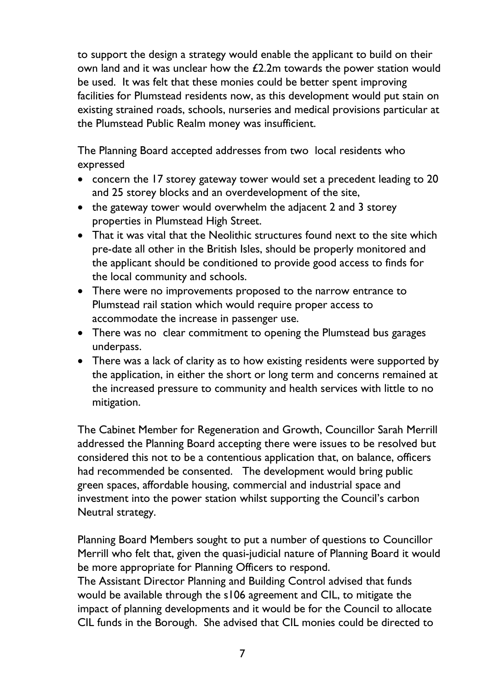to support the design a strategy would enable the applicant to build on their own land and it was unclear how the £2.2m towards the power station would be used. It was felt that these monies could be better spent improving facilities for Plumstead residents now, as this development would put stain on existing strained roads, schools, nurseries and medical provisions particular at the Plumstead Public Realm money was insufficient.

The Planning Board accepted addresses from two local residents who expressed

- concern the 17 storey gateway tower would set a precedent leading to 20 and 25 storey blocks and an overdevelopment of the site,
- the gateway tower would overwhelm the adjacent 2 and 3 storey properties in Plumstead High Street.
- That it was vital that the Neolithic structures found next to the site which pre-date all other in the British Isles, should be properly monitored and the applicant should be conditioned to provide good access to finds for the local community and schools.
- There were no improvements proposed to the narrow entrance to Plumstead rail station which would require proper access to accommodate the increase in passenger use.
- There was no clear commitment to opening the Plumstead bus garages underpass.
- There was a lack of clarity as to how existing residents were supported by the application, in either the short or long term and concerns remained at the increased pressure to community and health services with little to no mitigation.

The Cabinet Member for Regeneration and Growth, Councillor Sarah Merrill addressed the Planning Board accepting there were issues to be resolved but considered this not to be a contentious application that, on balance, officers had recommended be consented. The development would bring public green spaces, affordable housing, commercial and industrial space and investment into the power station whilst supporting the Council's carbon Neutral strategy.

Planning Board Members sought to put a number of questions to Councillor Merrill who felt that, given the quasi-judicial nature of Planning Board it would be more appropriate for Planning Officers to respond.

The Assistant Director Planning and Building Control advised that funds would be available through the s106 agreement and CIL, to mitigate the impact of planning developments and it would be for the Council to allocate CIL funds in the Borough. She advised that CIL monies could be directed to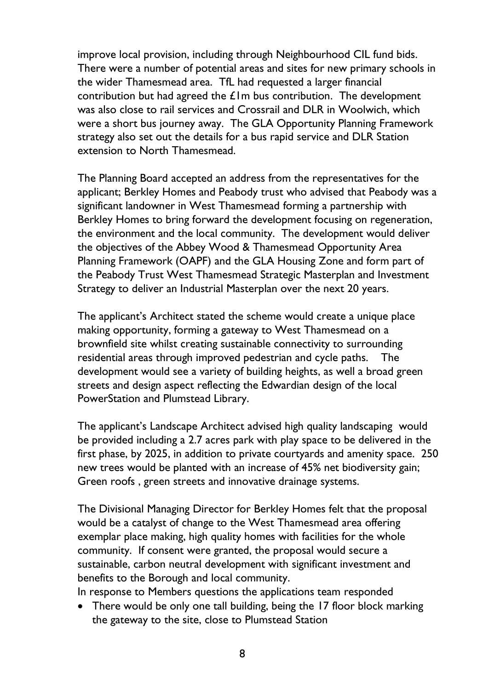improve local provision, including through Neighbourhood CIL fund bids. There were a number of potential areas and sites for new primary schools in the wider Thamesmead area. TfL had requested a larger financial contribution but had agreed the  $E$ Im bus contribution. The development was also close to rail services and Crossrail and DLR in Woolwich, which were a short bus journey away. The GLA Opportunity Planning Framework strategy also set out the details for a bus rapid service and DLR Station extension to North Thamesmead.

The Planning Board accepted an address from the representatives for the applicant; Berkley Homes and Peabody trust who advised that Peabody was a significant landowner in West Thamesmead forming a partnership with Berkley Homes to bring forward the development focusing on regeneration, the environment and the local community. The development would deliver the objectives of the Abbey Wood & Thamesmead Opportunity Area Planning Framework (OAPF) and the GLA Housing Zone and form part of the Peabody Trust West Thamesmead Strategic Masterplan and Investment Strategy to deliver an Industrial Masterplan over the next 20 years.

The applicant's Architect stated the scheme would create a unique place making opportunity, forming a gateway to West Thamesmead on a brownfield site whilst creating sustainable connectivity to surrounding residential areas through improved pedestrian and cycle paths. The development would see a variety of building heights, as well a broad green streets and design aspect reflecting the Edwardian design of the local PowerStation and Plumstead Library.

The applicant's Landscape Architect advised high quality landscaping would be provided including a 2.7 acres park with play space to be delivered in the first phase, by 2025, in addition to private courtyards and amenity space. 250 new trees would be planted with an increase of 45% net biodiversity gain; Green roofs , green streets and innovative drainage systems.

The Divisional Managing Director for Berkley Homes felt that the proposal would be a catalyst of change to the West Thamesmead area offering exemplar place making, high quality homes with facilities for the whole community. If consent were granted, the proposal would secure a sustainable, carbon neutral development with significant investment and benefits to the Borough and local community.

In response to Members questions the applications team responded

• There would be only one tall building, being the 17 floor block marking the gateway to the site, close to Plumstead Station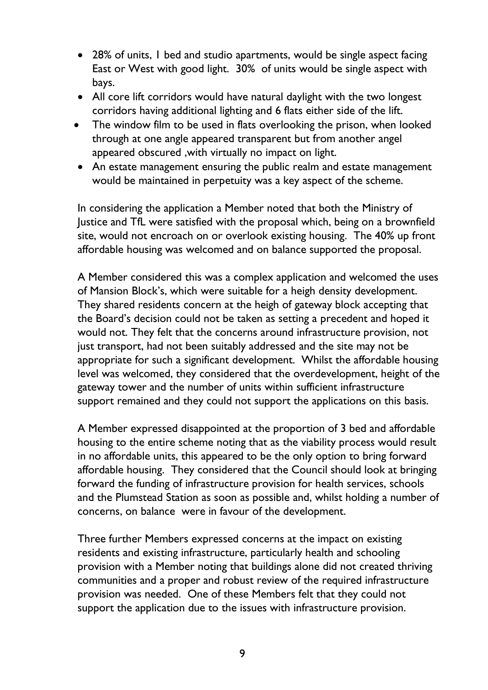- 28% of units, I bed and studio apartments, would be single aspect facing East or West with good light. 30% of units would be single aspect with bays.
- All core lift corridors would have natural daylight with the two longest corridors having additional lighting and 6 flats either side of the lift.
- The window film to be used in flats overlooking the prison, when looked through at one angle appeared transparent but from another angel appeared obscured ,with virtually no impact on light.
- An estate management ensuring the public realm and estate management would be maintained in perpetuity was a key aspect of the scheme.

In considering the application a Member noted that both the Ministry of Justice and TfL were satisfied with the proposal which, being on a brownfield site, would not encroach on or overlook existing housing. The 40% up front affordable housing was welcomed and on balance supported the proposal.

A Member considered this was a complex application and welcomed the uses of Mansion Block's, which were suitable for a heigh density development. They shared residents concern at the heigh of gateway block accepting that the Board's decision could not be taken as setting a precedent and hoped it would not. They felt that the concerns around infrastructure provision, not just transport, had not been suitably addressed and the site may not be appropriate for such a significant development. Whilst the affordable housing level was welcomed, they considered that the overdevelopment, height of the gateway tower and the number of units within sufficient infrastructure support remained and they could not support the applications on this basis.

A Member expressed disappointed at the proportion of 3 bed and affordable housing to the entire scheme noting that as the viability process would result in no affordable units, this appeared to be the only option to bring forward affordable housing. They considered that the Council should look at bringing forward the funding of infrastructure provision for health services, schools and the Plumstead Station as soon as possible and, whilst holding a number of concerns, on balance were in favour of the development.

Three further Members expressed concerns at the impact on existing residents and existing infrastructure, particularly health and schooling provision with a Member noting that buildings alone did not created thriving communities and a proper and robust review of the required infrastructure provision was needed. One of these Members felt that they could not support the application due to the issues with infrastructure provision.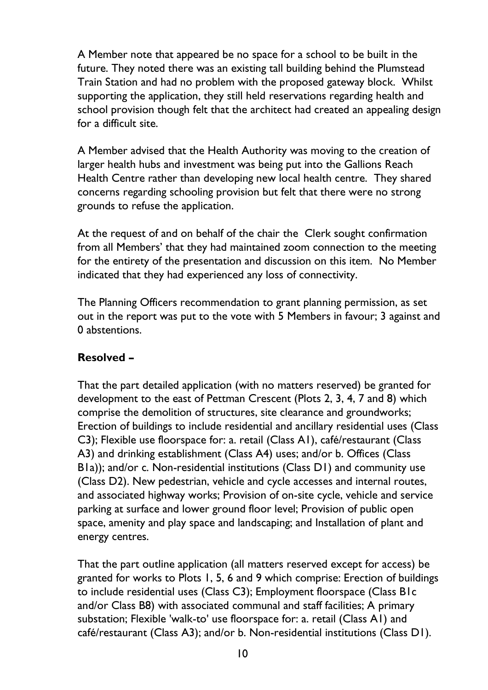A Member note that appeared be no space for a school to be built in the future. They noted there was an existing tall building behind the Plumstead Train Station and had no problem with the proposed gateway block. Whilst supporting the application, they still held reservations regarding health and school provision though felt that the architect had created an appealing design for a difficult site.

A Member advised that the Health Authority was moving to the creation of larger health hubs and investment was being put into the Gallions Reach Health Centre rather than developing new local health centre. They shared concerns regarding schooling provision but felt that there were no strong grounds to refuse the application.

At the request of and on behalf of the chair the Clerk sought confirmation from all Members' that they had maintained zoom connection to the meeting for the entirety of the presentation and discussion on this item. No Member indicated that they had experienced any loss of connectivity.

The Planning Officers recommendation to grant planning permission, as set out in the report was put to the vote with 5 Members in favour; 3 against and 0 abstentions.

### **Resolved –**

That the part detailed application (with no matters reserved) be granted for development to the east of Pettman Crescent (Plots 2, 3, 4, 7 and 8) which comprise the demolition of structures, site clearance and groundworks; Erection of buildings to include residential and ancillary residential uses (Class C3); Flexible use floorspace for: a. retail (Class A1), café/restaurant (Class A3) and drinking establishment (Class A4) uses; and/or b. Offices (Class B1a)); and/or c. Non-residential institutions (Class D1) and community use (Class D2). New pedestrian, vehicle and cycle accesses and internal routes, and associated highway works; Provision of on-site cycle, vehicle and service parking at surface and lower ground floor level; Provision of public open space, amenity and play space and landscaping; and Installation of plant and energy centres.

That the part outline application (all matters reserved except for access) be granted for works to Plots 1, 5, 6 and 9 which comprise: Erection of buildings to include residential uses (Class C3); Employment floorspace (Class B1c and/or Class B8) with associated communal and staff facilities; A primary substation; Flexible 'walk-to' use floorspace for: a. retail (Class A1) and café/restaurant (Class A3); and/or b. Non-residential institutions (Class D1).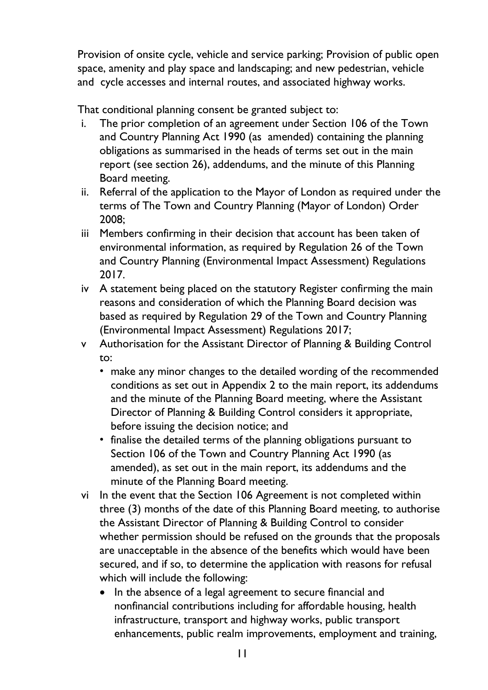Provision of onsite cycle, vehicle and service parking; Provision of public open space, amenity and play space and landscaping; and new pedestrian, vehicle and cycle accesses and internal routes, and associated highway works.

That conditional planning consent be granted subject to:

- i. The prior completion of an agreement under Section 106 of the Town and Country Planning Act 1990 (as amended) containing the planning obligations as summarised in the heads of terms set out in the main report (see section 26), addendums, and the minute of this Planning Board meeting.
- ii. Referral of the application to the Mayor of London as required under the terms of The Town and Country Planning (Mayor of London) Order 2008;
- iii Members confirming in their decision that account has been taken of environmental information, as required by Regulation 26 of the Town and Country Planning (Environmental Impact Assessment) Regulations 2017.
- iv A statement being placed on the statutory Register confirming the main reasons and consideration of which the Planning Board decision was based as required by Regulation 29 of the Town and Country Planning (Environmental Impact Assessment) Regulations 2017;
- v Authorisation for the Assistant Director of Planning & Building Control to:
	- make any minor changes to the detailed wording of the recommended conditions as set out in Appendix 2 to the main report, its addendums and the minute of the Planning Board meeting, where the Assistant Director of Planning & Building Control considers it appropriate, before issuing the decision notice; and
	- finalise the detailed terms of the planning obligations pursuant to Section 106 of the Town and Country Planning Act 1990 (as amended), as set out in the main report, its addendums and the minute of the Planning Board meeting.
- vi In the event that the Section 106 Agreement is not completed within three (3) months of the date of this Planning Board meeting, to authorise the Assistant Director of Planning & Building Control to consider whether permission should be refused on the grounds that the proposals are unacceptable in the absence of the benefits which would have been secured, and if so, to determine the application with reasons for refusal which will include the following:
	- In the absence of a legal agreement to secure financial and nonfinancial contributions including for affordable housing, health infrastructure, transport and highway works, public transport enhancements, public realm improvements, employment and training,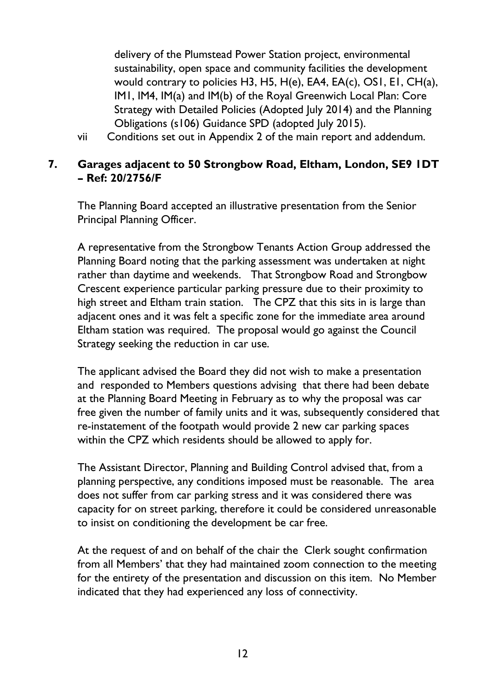delivery of the Plumstead Power Station project, environmental sustainability, open space and community facilities the development would contrary to policies H3, H5, H(e), EA4, EA(c), OS1, E1, CH(a), IM1, IM4, IM(a) and IM(b) of the Royal Greenwich Local Plan: Core Strategy with Detailed Policies (Adopted July 2014) and the Planning Obligations (s106) Guidance SPD (adopted July 2015).

vii Conditions set out in Appendix 2 of the main report and addendum.

### **7. Garages adjacent to 50 Strongbow Road, Eltham, London, SE9 1DT – Ref: 20/2756/F**

The Planning Board accepted an illustrative presentation from the Senior Principal Planning Officer.

A representative from the Strongbow Tenants Action Group addressed the Planning Board noting that the parking assessment was undertaken at night rather than daytime and weekends. That Strongbow Road and Strongbow Crescent experience particular parking pressure due to their proximity to high street and Eltham train station. The CPZ that this sits in is large than adjacent ones and it was felt a specific zone for the immediate area around Eltham station was required. The proposal would go against the Council Strategy seeking the reduction in car use.

The applicant advised the Board they did not wish to make a presentation and responded to Members questions advising that there had been debate at the Planning Board Meeting in February as to why the proposal was car free given the number of family units and it was, subsequently considered that re-instatement of the footpath would provide 2 new car parking spaces within the CPZ which residents should be allowed to apply for.

The Assistant Director, Planning and Building Control advised that, from a planning perspective, any conditions imposed must be reasonable. The area does not suffer from car parking stress and it was considered there was capacity for on street parking, therefore it could be considered unreasonable to insist on conditioning the development be car free.

At the request of and on behalf of the chair the Clerk sought confirmation from all Members' that they had maintained zoom connection to the meeting for the entirety of the presentation and discussion on this item. No Member indicated that they had experienced any loss of connectivity.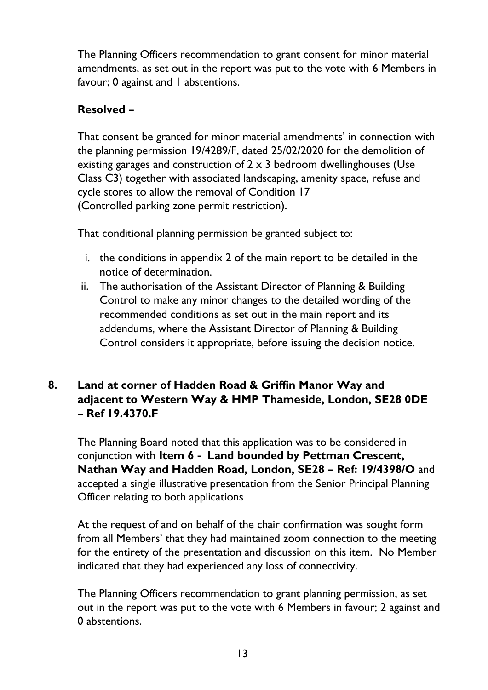The Planning Officers recommendation to grant consent for minor material amendments, as set out in the report was put to the vote with 6 Members in favour; 0 against and 1 abstentions.

# **Resolved –**

That consent be granted for minor material amendments' in connection with the planning permission 19/4289/F, dated 25/02/2020 for the demolition of existing garages and construction of  $2 \times 3$  bedroom dwellinghouses (Use Class C3) together with associated landscaping, amenity space, refuse and cycle stores to allow the removal of Condition 17 (Controlled parking zone permit restriction).

That conditional planning permission be granted subject to:

- i. the conditions in appendix 2 of the main report to be detailed in the notice of determination.
- ii. The authorisation of the Assistant Director of Planning & Building Control to make any minor changes to the detailed wording of the recommended conditions as set out in the main report and its addendums, where the Assistant Director of Planning & Building Control considers it appropriate, before issuing the decision notice.

# **8. Land at corner of Hadden Road & Griffin Manor Way and adjacent to Western Way & HMP Thameside, London, SE28 0DE – Ref 19.4370.F**

The Planning Board noted that this application was to be considered in conjunction with **Item 6 - Land bounded by Pettman Crescent, Nathan Way and Hadden Road, London, SE28 – Ref: 19/4398/O** and accepted a single illustrative presentation from the Senior Principal Planning Officer relating to both applications

At the request of and on behalf of the chair confirmation was sought form from all Members' that they had maintained zoom connection to the meeting for the entirety of the presentation and discussion on this item. No Member indicated that they had experienced any loss of connectivity.

The Planning Officers recommendation to grant planning permission, as set out in the report was put to the vote with 6 Members in favour; 2 against and 0 abstentions.